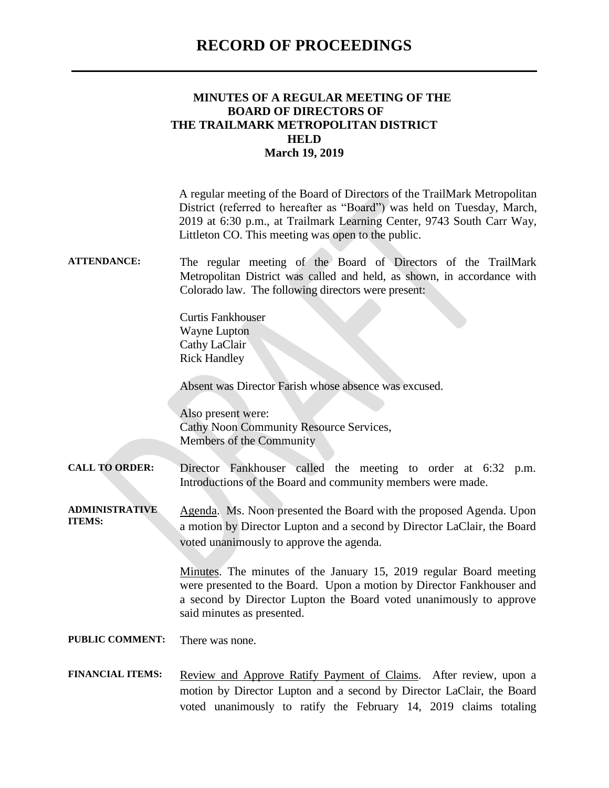### **RECORD OF PROCEEDINGS**

#### **MINUTES OF A REGULAR MEETING OF THE BOARD OF DIRECTORS OF THE TRAILMARK METROPOLITAN DISTRICT HELD March 19, 2019**

A regular meeting of the Board of Directors of the TrailMark Metropolitan District (referred to hereafter as "Board") was held on Tuesday, March, 2019 at 6:30 p.m., at Trailmark Learning Center, 9743 South Carr Way, Littleton CO. This meeting was open to the public.

#### **ATTENDANCE:** The regular meeting of the Board of Directors of the TrailMark Metropolitan District was called and held, as shown, in accordance with Colorado law. The following directors were present:

Curtis Fankhouser Wayne Lupton Cathy LaClair Rick Handley

Absent was Director Farish whose absence was excused.

Also present were: Cathy Noon Community Resource Services, Members of the Community

**CALL TO ORDER:** Director Fankhouser called the meeting to order at 6:32 p.m. Introductions of the Board and community members were made.

**ADMINISTRATIVE ITEMS:** Agenda. Ms. Noon presented the Board with the proposed Agenda. Upon a motion by Director Lupton and a second by Director LaClair, the Board voted unanimously to approve the agenda.

> Minutes. The minutes of the January 15, 2019 regular Board meeting were presented to the Board. Upon a motion by Director Fankhouser and a second by Director Lupton the Board voted unanimously to approve said minutes as presented.

**PUBLIC COMMENT:** There was none.

FINANCIAL ITEMS: Review and Approve Ratify Payment of Claims. After review, upon a motion by Director Lupton and a second by Director LaClair, the Board voted unanimously to ratify the February 14, 2019 claims totaling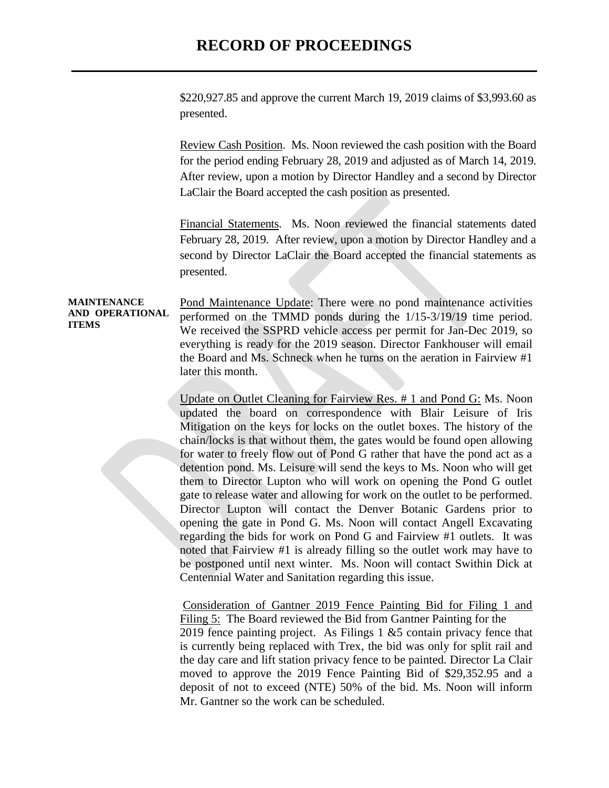## **RECORD OF PROCEEDINGS**

\$220,927.85 and approve the current March 19, 2019 claims of \$3,993.60 as presented.

Review Cash Position. Ms. Noon reviewed the cash position with the Board for the period ending February 28, 2019 and adjusted as of March 14, 2019. After review, upon a motion by Director Handley and a second by Director LaClair the Board accepted the cash position as presented.

Financial Statements. Ms. Noon reviewed the financial statements dated February 28, 2019. After review, upon a motion by Director Handley and a second by Director LaClair the Board accepted the financial statements as presented.

**MAINTENANCE AND OPERATIONAL ITEMS** Pond Maintenance Update: There were no pond maintenance activities performed on the TMMD ponds during the 1/15-3/19/19 time period. We received the SSPRD vehicle access per permit for Jan-Dec 2019, so everything is ready for the 2019 season. Director Fankhouser will email the Board and Ms. Schneck when he turns on the aeration in Fairview #1 later this month.

> Update on Outlet Cleaning for Fairview Res. # 1 and Pond G: Ms. Noon updated the board on correspondence with Blair Leisure of Iris Mitigation on the keys for locks on the outlet boxes. The history of the chain/locks is that without them, the gates would be found open allowing for water to freely flow out of Pond G rather that have the pond act as a detention pond. Ms. Leisure will send the keys to Ms. Noon who will get them to Director Lupton who will work on opening the Pond G outlet gate to release water and allowing for work on the outlet to be performed. Director Lupton will contact the Denver Botanic Gardens prior to opening the gate in Pond G. Ms. Noon will contact Angell Excavating regarding the bids for work on Pond G and Fairview #1 outlets. It was noted that Fairview #1 is already filling so the outlet work may have to be postponed until next winter. Ms. Noon will contact Swithin Dick at Centennial Water and Sanitation regarding this issue.

> Consideration of Gantner 2019 Fence Painting Bid for Filing 1 and Filing 5: The Board reviewed the Bid from Gantner Painting for the 2019 fence painting project. As Filings  $1 \& 5$  contain privacy fence that is currently being replaced with Trex, the bid was only for split rail and the day care and lift station privacy fence to be painted. Director La Clair moved to approve the 2019 Fence Painting Bid of \$29,352.95 and a deposit of not to exceed (NTE) 50% of the bid. Ms. Noon will inform Mr. Gantner so the work can be scheduled.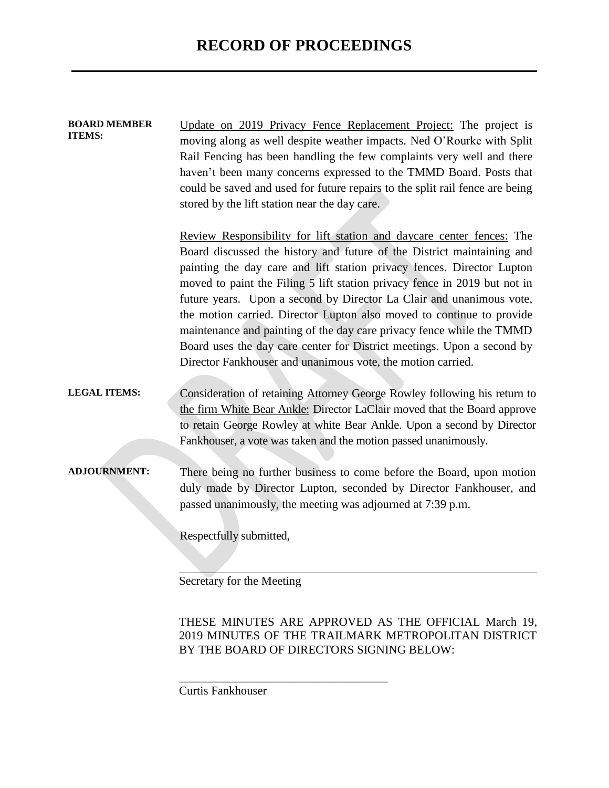| <b>BOARD MEMBER</b><br>ITEMS: | Update on 2019 Privacy Fence Replacement Project: The project is<br>moving along as well despite weather impacts. Ned O'Rourke with Split<br>Rail Fencing has been handling the few complaints very well and there<br>haven't been many concerns expressed to the TMMD Board. Posts that<br>could be saved and used for future repairs to the split rail fence are being<br>stored by the lift station near the day care.                                                                                                                                                                                                                                                 |
|-------------------------------|---------------------------------------------------------------------------------------------------------------------------------------------------------------------------------------------------------------------------------------------------------------------------------------------------------------------------------------------------------------------------------------------------------------------------------------------------------------------------------------------------------------------------------------------------------------------------------------------------------------------------------------------------------------------------|
|                               | Review Responsibility for lift station and daycare center fences: The<br>Board discussed the history and future of the District maintaining and<br>painting the day care and lift station privacy fences. Director Lupton<br>moved to paint the Filing 5 lift station privacy fence in 2019 but not in<br>future years. Upon a second by Director La Clair and unanimous vote,<br>the motion carried. Director Lupton also moved to continue to provide<br>maintenance and painting of the day care privacy fence while the TMMD<br>Board uses the day care center for District meetings. Upon a second by<br>Director Fankhouser and unanimous vote, the motion carried. |
| <b>LEGAL ITEMS:</b>           | Consideration of retaining Attorney George Rowley following his return to<br>the firm White Bear Ankle: Director LaClair moved that the Board approve<br>to retain George Rowley at white Bear Ankle. Upon a second by Director<br>Fankhouser, a vote was taken and the motion passed unanimously.                                                                                                                                                                                                                                                                                                                                                                        |
| <b>ADJOURNMENT:</b>           | There being no further business to come before the Board, upon motion<br>duly made by Director Lupton, seconded by Director Fankhouser, and<br>passed unanimously, the meeting was adjourned at 7:39 p.m.<br>Respectfully submitted,<br>Secretary for the Meeting                                                                                                                                                                                                                                                                                                                                                                                                         |

THESE MINUTES ARE APPROVED AS THE OFFICIAL March 19, 2019 MINUTES OF THE TRAILMARK METROPOLITAN DISTRICT BY THE BOARD OF DIRECTORS SIGNING BELOW:

Curtis Fankhouser

\_\_\_\_\_\_\_\_\_\_\_\_\_\_\_\_\_\_\_\_\_\_\_\_\_\_\_\_\_\_\_\_\_\_\_